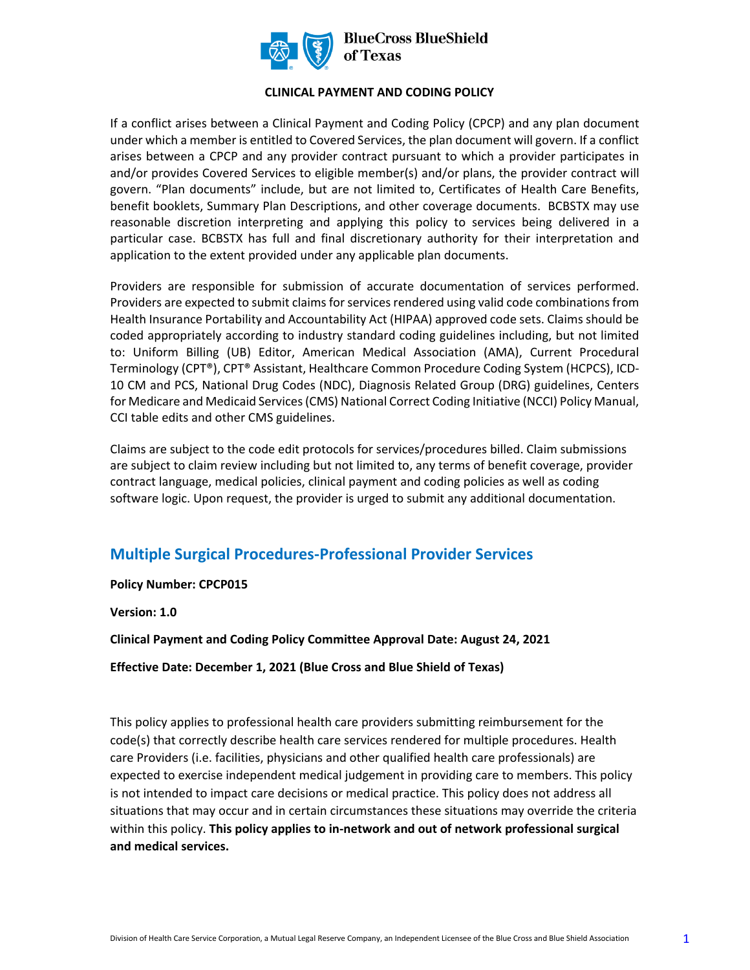

**BlueCross BlueShield** of Texas

#### **CLINICAL PAYMENT AND CODING POLICY**

If a conflict arises between a Clinical Payment and Coding Policy (CPCP) and any plan document under which a member is entitled to Covered Services, the plan document will govern. If a conflict arises between a CPCP and any provider contract pursuant to which a provider participates in and/or provides Covered Services to eligible member(s) and/or plans, the provider contract will govern. "Plan documents" include, but are not limited to, Certificates of Health Care Benefits, benefit booklets, Summary Plan Descriptions, and other coverage documents. BCBSTX may use reasonable discretion interpreting and applying this policy to services being delivered in a particular case. BCBSTX has full and final discretionary authority for their interpretation and application to the extent provided under any applicable plan documents.

Providers are responsible for submission of accurate documentation of services performed. Providers are expected to submit claims for services rendered using valid code combinations from Health Insurance Portability and Accountability Act (HIPAA) approved code sets. Claims should be coded appropriately according to industry standard coding guidelines including, but not limited to: Uniform Billing (UB) Editor, American Medical Association (AMA), Current Procedural Terminology (CPT®), CPT® Assistant, Healthcare Common Procedure Coding System (HCPCS), ICD-10 CM and PCS, National Drug Codes (NDC), Diagnosis Related Group (DRG) guidelines, Centers for Medicare and Medicaid Services (CMS) National Correct Coding Initiative (NCCI) Policy Manual, CCI table edits and other CMS guidelines.

Claims are subject to the code edit protocols for services/procedures billed. Claim submissions are subject to claim review including but not limited to, any terms of benefit coverage, provider contract language, medical policies, clinical payment and coding policies as well as coding software logic. Upon request, the provider is urged to submit any additional documentation.

### **Multiple Surgical Procedures-Professional Provider Services**

**Policy Number: CPCP015**

**Version: 1.0** 

**Clinical Payment and Coding Policy Committee Approval Date: August 24, 2021**

**Effective Date: December 1, 2021 (Blue Cross and Blue Shield of Texas)** 

This policy applies to professional health care providers submitting reimbursement for the code(s) that correctly describe health care services rendered for multiple procedures. Health care Providers (i.e. facilities, physicians and other qualified health care professionals) are expected to exercise independent medical judgement in providing care to members. This policy is not intended to impact care decisions or medical practice. This policy does not address all situations that may occur and in certain circumstances these situations may override the criteria within this policy. **This policy applies to in-network and out of network professional surgical and medical services.**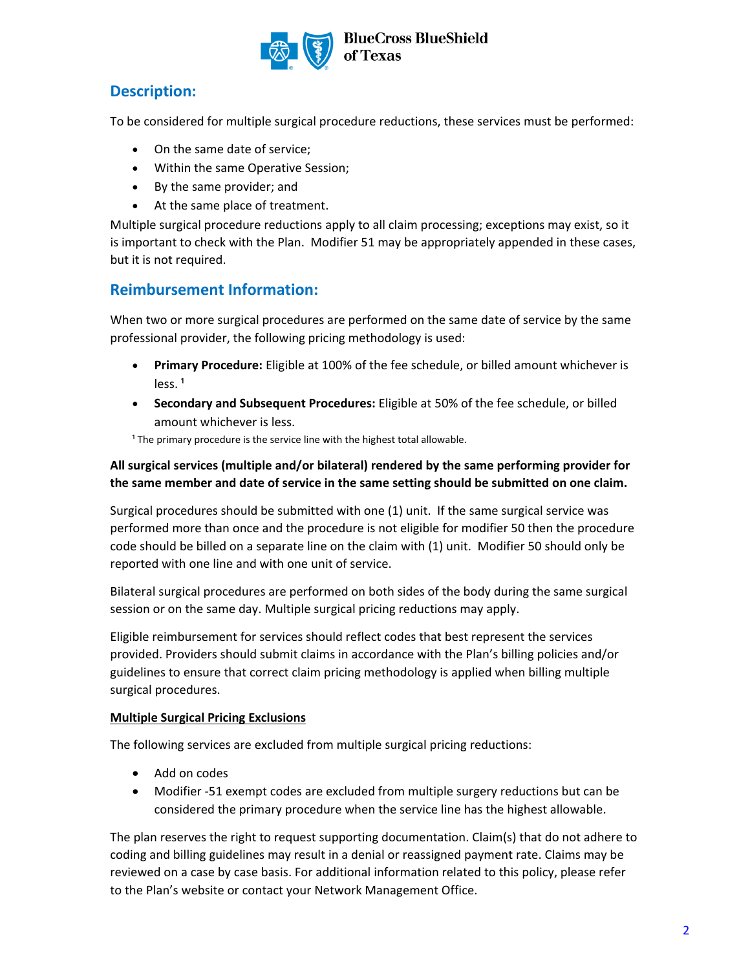

# **Description:**

To be considered for multiple surgical procedure reductions, these services must be performed:

- On the same date of service;
- Within the same Operative Session;
- By the same provider; and
- At the same place of treatment.

Multiple surgical procedure reductions apply to all claim processing; exceptions may exist, so it is important to check with the Plan. Modifier 51 may be appropriately appended in these cases, but it is not required.

## **Reimbursement Information:**

When two or more surgical procedures are performed on the same date of service by the same professional provider, the following pricing methodology is used:

- **Primary Procedure:** Eligible at 100% of the fee schedule, or billed amount whichever is  $less<sup>1</sup>$
- **Secondary and Subsequent Procedures:** Eligible at 50% of the fee schedule, or billed amount whichever is less.

<sup>1</sup> The primary procedure is the service line with the highest total allowable.

### **All surgical services (multiple and/or bilateral) rendered by the same performing provider for the same member and date of service in the same setting should be submitted on one claim.**

Surgical procedures should be submitted with one (1) unit. If the same surgical service was performed more than once and the procedure is not eligible for modifier 50 then the procedure code should be billed on a separate line on the claim with (1) unit. Modifier 50 should only be reported with one line and with one unit of service.

Bilateral surgical procedures are performed on both sides of the body during the same surgical session or on the same day. Multiple surgical pricing reductions may apply.

Eligible reimbursement for services should reflect codes that best represent the services provided. Providers should submit claims in accordance with the Plan's billing policies and/or guidelines to ensure that correct claim pricing methodology is applied when billing multiple surgical procedures.

### **Multiple Surgical Pricing Exclusions**

The following services are excluded from multiple surgical pricing reductions:

- Add on codes
- Modifier -51 exempt codes are excluded from multiple surgery reductions but can be considered the primary procedure when the service line has the highest allowable.

The plan reserves the right to request supporting documentation. Claim(s) that do not adhere to coding and billing guidelines may result in a denial or reassigned payment rate. Claims may be reviewed on a case by case basis. For additional information related to this policy, please refer to the Plan's website or contact your Network Management Office.